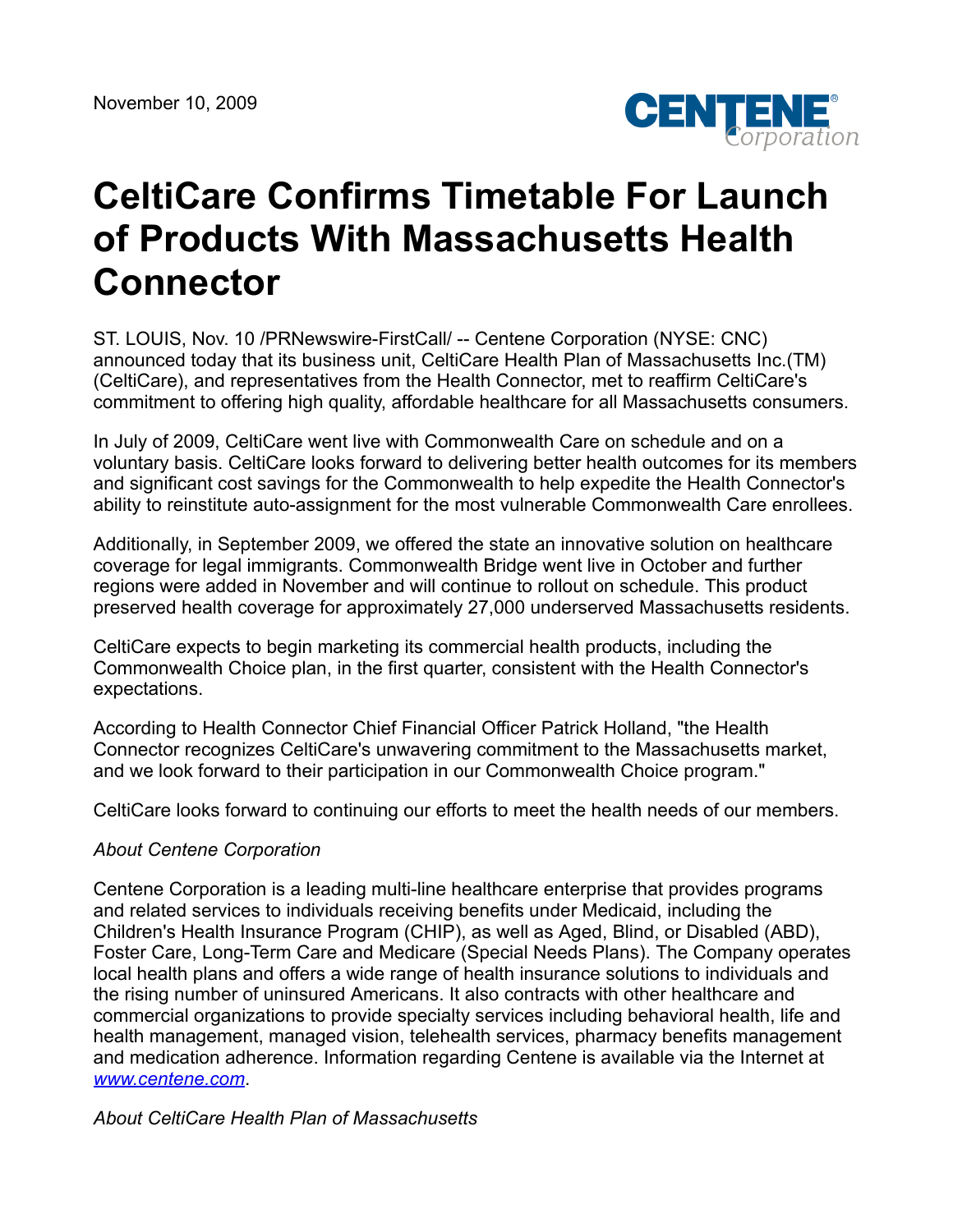

## **CeltiCare Confirms Timetable For Launch of Products With Massachusetts Health Connector**

ST. LOUIS, Nov. 10 /PRNewswire-FirstCall/ -- Centene Corporation (NYSE: CNC) announced today that its business unit, CeltiCare Health Plan of Massachusetts Inc.(TM) (CeltiCare), and representatives from the Health Connector, met to reaffirm CeltiCare's commitment to offering high quality, affordable healthcare for all Massachusetts consumers.

In July of 2009, CeltiCare went live with Commonwealth Care on schedule and on a voluntary basis. CeltiCare looks forward to delivering better health outcomes for its members and significant cost savings for the Commonwealth to help expedite the Health Connector's ability to reinstitute auto-assignment for the most vulnerable Commonwealth Care enrollees.

Additionally, in September 2009, we offered the state an innovative solution on healthcare coverage for legal immigrants. Commonwealth Bridge went live in October and further regions were added in November and will continue to rollout on schedule. This product preserved health coverage for approximately 27,000 underserved Massachusetts residents.

CeltiCare expects to begin marketing its commercial health products, including the Commonwealth Choice plan, in the first quarter, consistent with the Health Connector's expectations.

According to Health Connector Chief Financial Officer Patrick Holland, "the Health Connector recognizes CeltiCare's unwavering commitment to the Massachusetts market, and we look forward to their participation in our Commonwealth Choice program."

CeltiCare looks forward to continuing our efforts to meet the health needs of our members.

## *About Centene Corporation*

Centene Corporation is a leading multi-line healthcare enterprise that provides programs and related services to individuals receiving benefits under Medicaid, including the Children's Health Insurance Program (CHIP), as well as Aged, Blind, or Disabled (ABD), Foster Care, Long-Term Care and Medicare (Special Needs Plans). The Company operates local health plans and offers a wide range of health insurance solutions to individuals and the rising number of uninsured Americans. It also contracts with other healthcare and commercial organizations to provide specialty services including behavioral health, life and health management, managed vision, telehealth services, pharmacy benefits management and medication adherence. Information regarding Centene is available via the Internet at *[www.centene.com](http://www.centene.com/)*.

*About CeltiCare Health Plan of Massachusetts*